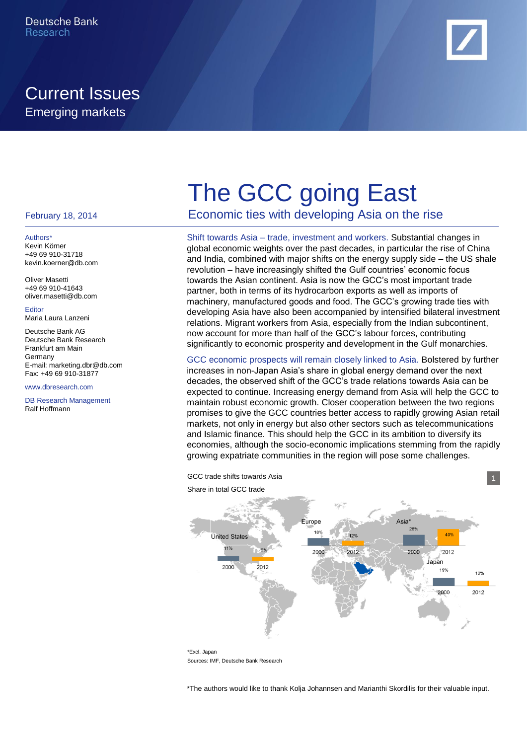# Current Issues Emerging markets



#### February 18, 2014

#### Authors\* Kevin Körner +49 69 910-31718

kevin.koerner@db.com Oliver Masetti

+49 69 910-41643 oliver.masetti@db.com

Editor Maria Laura Lanzeni

Deutsche Bank AG Deutsche Bank Research Frankfurt am Main **Germany** E-mail: marketing.dbr@db.com Fax: +49 69 910-31877

www.dbresearch.com

DB Research Management Ralf Hoffmann

# The GCC going East

Economic ties with developing Asia on the rise

Shift towards Asia – trade, investment and workers. Substantial changes in global economic weights over the past decades, in particular the rise of China and India, combined with major shifts on the energy supply side – the US shale revolution – have increasingly shifted the Gulf countries' economic focus towards the Asian continent. Asia is now the GCC's most important trade partner, both in terms of its hydrocarbon exports as well as imports of machinery, manufactured goods and food. The GCC's growing trade ties with developing Asia have also been accompanied by intensified bilateral investment relations. Migrant workers from Asia, especially from the Indian subcontinent, now account for more than half of the GCC's labour forces, contributing significantly to economic prosperity and development in the Gulf monarchies.

GCC economic prospects will remain closely linked to Asia. Bolstered by further increases in non-Japan Asia's share in global energy demand over the next decades, the observed shift of the GCC's trade relations towards Asia can be expected to continue. Increasing energy demand from Asia will help the GCC to maintain robust economic growth. Closer cooperation between the two regions promises to give the GCC countries better access to rapidly growing Asian retail markets, not only in energy but also other sectors such as telecommunications and Islamic finance. This should help the GCC in its ambition to diversify its economies, although the socio-economic implications stemming from the rapidly growing expatriate communities in the region will pose some challenges.





\*The authors would like to thank Kolja Johannsen and Marianthi Skordilis for their valuable input.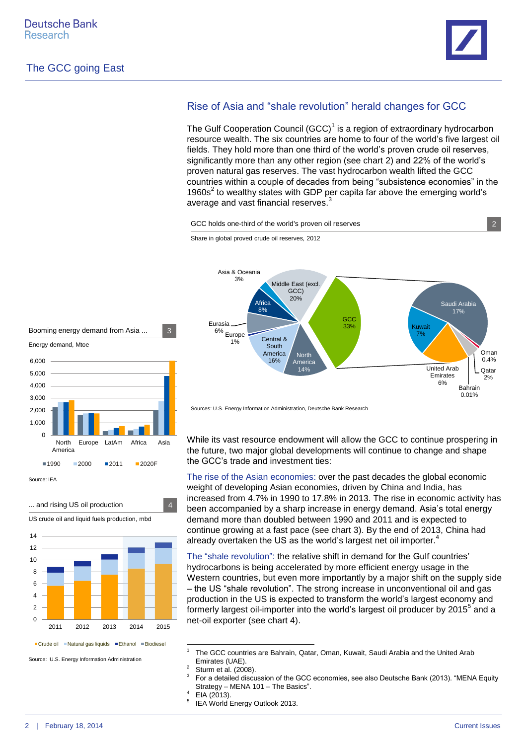

Bahrain 0.01%

Oman  $0.4%$ **Qatar** 2%

Saudi Arabia 17%

United Arab Emirates 6%

Kuwait 7%

#### Rise of Asia and "shale revolution" herald changes for GCC

The Gulf Cooperation Council  $(GCC)^1$  is a region of extraordinary hydrocarbon resource wealth. The six countries are home to four of the world's five largest oil fields. They hold more than one third of the world's proven crude oil reserves, significantly more than any other region (see chart 2) and 22% of the world's proven natural gas reserves. The vast hydrocarbon wealth lifted the GCC countries within a couple of decades from being "subsistence economies" in the 1960s<sup>2</sup> to wealthy states with GDP per capita far above the emerging world's average and vast financial reserves.<sup>3</sup>

GCC holds one-third of the world's proven oil reserves 2



Source: IEA







Source: U.S. Energy Information Administration

Central & South America 16%

Africa  $\Omega$ 

Share in global proved crude oil reserves, 2012

6% <sub>Europe</sub> 1%

Asia & Oceania 3%

Eurasia

North Americ 14%

Middle East (excl. GCC) 20%

While its vast resource endowment will allow the GCC to continue prospering in the future, two major global developments will continue to change and shape the GCC's trade and investment ties:

**GCC** 33%

The rise of the Asian economies: over the past decades the global economic weight of developing Asian economies, driven by China and India, has increased from 4.7% in 1990 to 17.8% in 2013. The rise in economic activity has been accompanied by a sharp increase in energy demand. Asia's total energy demand more than doubled between 1990 and 2011 and is expected to continue growing at a fast pace (see chart 3). By the end of 2013, China had already overtaken the US as the world's largest net oil importer.

The "shale revolution": the relative shift in demand for the Gulf countries' hydrocarbons is being accelerated by more efficient energy usage in the Western countries, but even more importantly by a major shift on the supply side – the US "shale revolution". The strong increase in unconventional oil and gas production in the US is expected to transform the world's largest economy and formerly largest oil-importer into the world's largest oil producer by 2015<sup>5</sup> and a net-oil exporter (see chart 4).

 $4$  EIA (2013).

1

5 IEA World Energy Outlook 2013.

Sources: U.S. Energy Information Administration, Deutsche Bank Research

<sup>1</sup> The GCC countries are Bahrain, Qatar, Oman, Kuwait, Saudi Arabia and the United Arab Emirates (UAE).

 $\frac{2}{3}$  Sturm et al. (2008).

<sup>3</sup> For a detailed discussion of the GCC economies, see also Deutsche Bank (2013). "MENA Equity Strategy – MENA 101 – The Basics".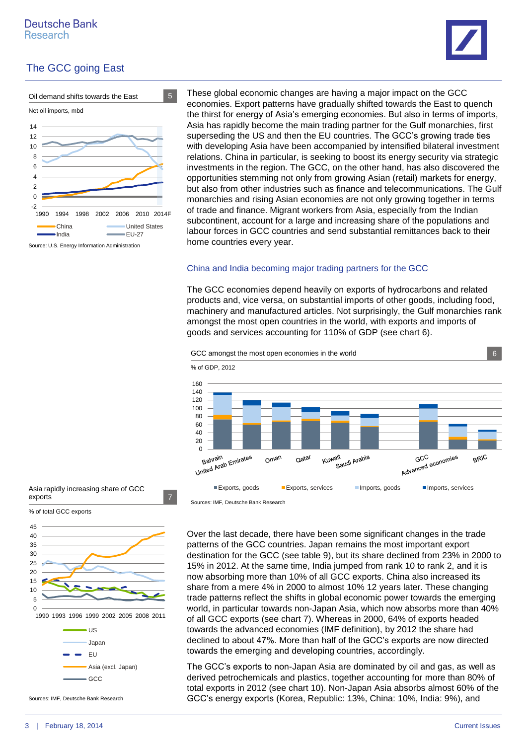



These global economic changes are having a major impact on the GCC economies. Export patterns have gradually shifted towards the East to quench the thirst for energy of Asia's emerging economies. But also in terms of imports, Asia has rapidly become the main trading partner for the Gulf monarchies, first superseding the US and then the EU countries. The GCC's growing trade ties with developing Asia have been accompanied by intensified bilateral investment relations. China in particular, is seeking to boost its energy security via strategic investments in the region. The GCC, on the other hand, has also discovered the opportunities stemming not only from growing Asian (retail) markets for energy, but also from other industries such as finance and telecommunications. The Gulf monarchies and rising Asian economies are not only growing together in terms of trade and finance. Migrant workers from Asia, especially from the Indian subcontinent, account for a large and increasing share of the populations and labour forces in GCC countries and send substantial remittances back to their home countries every year.

#### China and India becoming major trading partners for the GCC

The GCC economies depend heavily on exports of hydrocarbons and related products and, vice versa, on substantial imports of other goods, including food, machinery and manufactured articles. Not surprisingly, the Gulf monarchies rank amongst the most open countries in the world, with exports and imports of goods and services accounting for 110% of GDP (see chart 6).



Sources: IMF, Deutsche Bank Research

Over the last decade, there have been some significant changes in the trade patterns of the GCC countries. Japan remains the most important export destination for the GCC (see table 9), but its share declined from 23% in 2000 to 15% in 2012. At the same time, India jumped from rank 10 to rank 2, and it is now absorbing more than 10% of all GCC exports. China also increased its share from a mere 4% in 2000 to almost 10% 12 years later. These changing trade patterns reflect the shifts in global economic power towards the emerging world, in particular towards non-Japan Asia, which now absorbs more than 40% of all GCC exports (see chart 7). Whereas in 2000, 64% of exports headed towards the advanced economies (IMF definition), by 2012 the share had declined to about 47%. More than half of the GCC's exports are now directed towards the emerging and developing countries, accordingly.

The GCC's exports to non-Japan Asia are dominated by oil and gas, as well as derived petrochemicals and plastics, together accounting for more than 80% of total exports in 2012 (see chart 10). Non-Japan Asia absorbs almost 60% of the GCC's energy exports (Korea, Republic: 13%, China: 10%, India: 9%), and



Sources: IMF, Deutsche Bank Research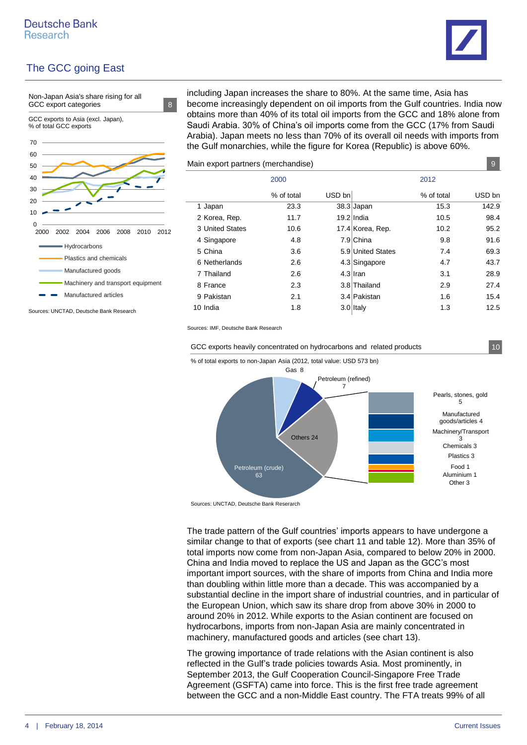



Sources: UNCTAD, Deutsche Bank Research

including Japan increases the share to 80%. At the same time, Asia has become increasingly dependent on oil imports from the Gulf countries. India now obtains more than 40% of its total oil imports from the GCC and 18% alone from Saudi Arabia. 30% of China's oil imports come from the GCC (17% from Saudi Arabia). Japan meets no less than 70% of its overall oil needs with imports from the Gulf monarchies, while the figure for Korea (Republic) is above 60%.

Main export partners (merchandise) 9

| $\frac{1}{2}$<br>◡ |            |        |                   |            |        |  |  |  |  |
|--------------------|------------|--------|-------------------|------------|--------|--|--|--|--|
|                    | 2000       |        | 2012              |            |        |  |  |  |  |
|                    | % of total | USD bn |                   | % of total | USD bn |  |  |  |  |
| 1 Japan            | 23.3       |        | $38.3$ Japan      | 15.3       | 142.9  |  |  |  |  |
| 2 Korea, Rep.      | 11.7       |        | 19.2 India        | 10.5       | 98.4   |  |  |  |  |
| 3 United States    | 10.6       |        | 17.4 Korea, Rep.  | 10.2       | 95.2   |  |  |  |  |
| 4 Singapore        | 4.8        |        | 7.9 China         | 9.8        | 91.6   |  |  |  |  |
| 5 China            | 3.6        |        | 5.9 United States | 7.4        | 69.3   |  |  |  |  |
| 6 Netherlands      | 2.6        |        | 4.3 Singapore     | 4.7        | 43.7   |  |  |  |  |
| 7 Thailand         | 2.6        |        | $4.3$ Iran        | 3.1        | 28.9   |  |  |  |  |
| 8 France           | 2.3        |        | 3.8 Thailand      | 2.9        | 27.4   |  |  |  |  |
| 9 Pakistan         | 2.1        |        | 3.4 Pakistan      | 1.6        | 15.4   |  |  |  |  |
| 10 India           | 1.8        |        | $3.0$ Italy       | 1.3        | 12.5   |  |  |  |  |
|                    |            |        |                   |            |        |  |  |  |  |

Sources: IMF, Deutsche Bank Research

GCC exports heavily concentrated on hydrocarbons and related products 10



Sources: UNCTAD, Deutsche Bank Reserarch

The trade pattern of the Gulf countries' imports appears to have undergone a similar change to that of exports (see chart 11 and table 12). More than 35% of total imports now come from non-Japan Asia, compared to below 20% in 2000. China and India moved to replace the US and Japan as the GCC's most important import sources, with the share of imports from China and India more than doubling within little more than a decade. This was accompanied by a substantial decline in the import share of industrial countries, and in particular of the European Union, which saw its share drop from above 30% in 2000 to around 20% in 2012. While exports to the Asian continent are focused on hydrocarbons, imports from non-Japan Asia are mainly concentrated in machinery, manufactured goods and articles (see chart 13).

The growing importance of trade relations with the Asian continent is also reflected in the Gulf's trade policies towards Asia. Most prominently, in September 2013, the Gulf Cooperation Council-Singapore Free Trade Agreement (GSFTA) came into force. This is the first free trade agreement between the GCC and a non-Middle East country. The FTA treats 99% of all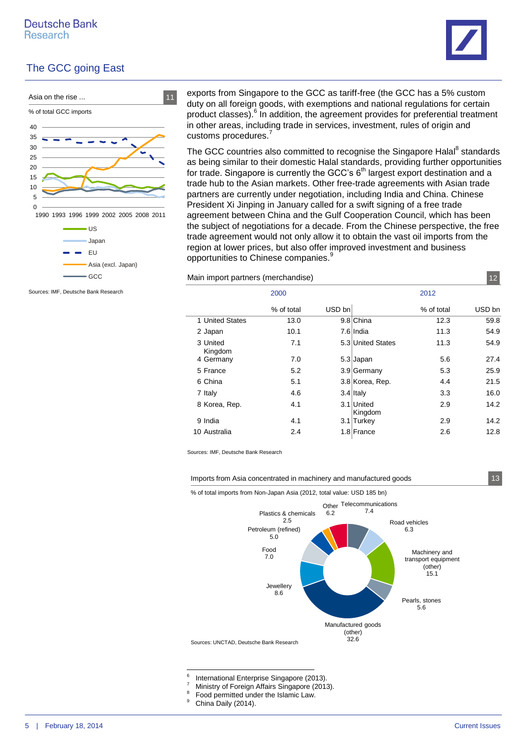



Sources: IMF, Deutsche Bank Research

exports from Singapore to the GCC as tariff-free (the GCC has a 5% custom duty on all foreign goods, with exemptions and national regulations for certain product classes).<sup>6</sup> In addition, the agreement provides for preferential treatment in other areas, including trade in services, investment, rules of origin and customs procedures.<sup>7</sup>

The GCC countries also committed to recognise the Singapore Halal<sup>8</sup> standards as being similar to their domestic Halal standards, providing further opportunities for trade. Singapore is currently the GCC's  $6<sup>th</sup>$  largest export destination and a trade hub to the Asian markets. Other free-trade agreements with Asian trade partners are currently under negotiation, including India and China. Chinese President Xi Jinping in January called for a swift signing of a free trade agreement between China and the Gulf Cooperation Council, which has been the subject of negotiations for a decade. From the Chinese perspective, the free trade agreement would not only allow it to obtain the vast oil imports from the region at lower prices, but also offer improved investment and business opportunities to Chinese companies.<sup>9</sup>

Main import partners (merchandise) 12

|                     | 2000       |        | 2012                  |            |        |
|---------------------|------------|--------|-----------------------|------------|--------|
|                     | % of total | USD bn |                       | % of total | USD bn |
| 1 United States     | 13.0       |        | 9.8 China             | 12.3       | 59.8   |
| 2 Japan             | 10.1       |        | 7.6 India             | 11.3       | 54.9   |
| 3 United<br>Kingdom | 7.1        |        | 5.3 United States     | 11.3       | 54.9   |
| 4 Germany           | 7.0        |        | $5.3$ Japan           | 5.6        | 27.4   |
| 5 France            | 5.2        |        | 3.9 Germany           | 5.3        | 25.9   |
| 6 China             | 5.1        |        | 3.8 Korea, Rep.       | 4.4        | 21.5   |
| 7 Italy             | 4.6        |        | $3.4$ Italy           | 3.3        | 16.0   |
| 8 Korea, Rep.       | 4.1        |        | 3.1 United<br>Kingdom | 2.9        | 14.2   |
| 9 India             | 4.1        |        | 3.1 Turkey            | 2.9        | 14.2   |
| 10 Australia        | 2.4        |        | 1.8 France            | 2.6        | 12.8   |

Sources: IMF, Deutsche Bank Research

Imports from Asia concentrated in machinery and manufactured goods 13



-<br>6

- International Enterprise Singapore (2013).
- <sup>7</sup> Ministry of Foreign Affairs Singapore (2013). 8
- Food permitted under the Islamic Law.
- <sup>9</sup> China Daily (2014).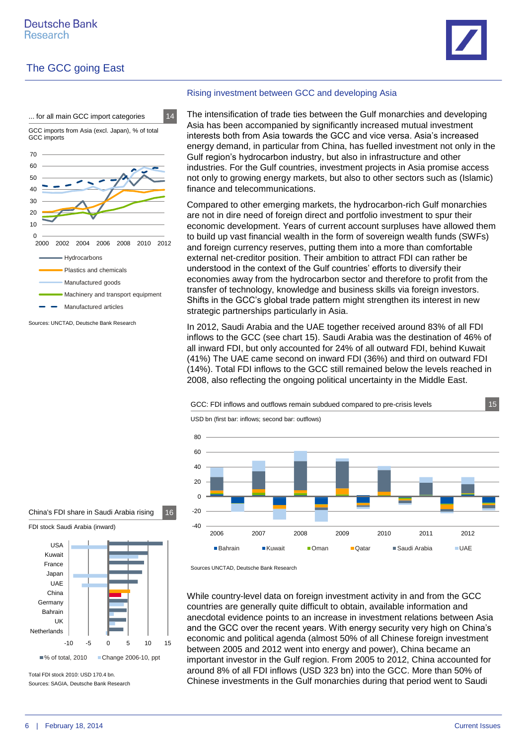



Sources: UNCTAD, Deutsche Bank Research

#### Rising investment between GCC and developing Asia

The intensification of trade ties between the Gulf monarchies and developing Asia has been accompanied by significantly increased mutual investment interests both from Asia towards the GCC and vice versa. Asia's increased energy demand, in particular from China, has fuelled investment not only in the Gulf region's hydrocarbon industry, but also in infrastructure and other industries. For the Gulf countries, investment projects in Asia promise access not only to growing energy markets, but also to other sectors such as (Islamic) finance and telecommunications.

Compared to other emerging markets, the hydrocarbon-rich Gulf monarchies are not in dire need of foreign direct and portfolio investment to spur their economic development. Years of current account surpluses have allowed them to build up vast financial wealth in the form of sovereign wealth funds (SWFs) and foreign currency reserves, putting them into a more than comfortable external net-creditor position. Their ambition to attract FDI can rather be understood in the context of the Gulf countries' efforts to diversify their economies away from the hydrocarbon sector and therefore to profit from the transfer of technology, knowledge and business skills via foreign investors. Shifts in the GCC's global trade pattern might strengthen its interest in new strategic partnerships particularly in Asia.

In 2012, Saudi Arabia and the UAE together received around 83% of all FDI inflows to the GCC (see chart 15). Saudi Arabia was the destination of 46% of all inward FDI, but only accounted for 24% of all outward FDI, behind Kuwait (41%) The UAE came second on inward FDI (36%) and third on outward FDI (14%). Total FDI inflows to the GCC still remained below the levels reached in 2008, also reflecting the ongoing political uncertainty in the Middle East.



China's FDI share in Saudi Arabia rising 16





Sources: SAGIA, Deutsche Bank Research Total FDI stock 2010: USD 170.4 bn.

Sources UNCTAD, Deutsche Bank Research

While country-level data on foreign investment activity in and from the GCC countries are generally quite difficult to obtain, available information and anecdotal evidence points to an increase in investment relations between Asia and the GCC over the recent years. With energy security very high on China's economic and political agenda (almost 50% of all Chinese foreign investment between 2005 and 2012 went into energy and power), China became an important investor in the Gulf region. From 2005 to 2012, China accounted for around 8% of all FDI inflows (USD 323 bn) into the GCC. More than 50% of Chinese investments in the Gulf monarchies during that period went to Saudi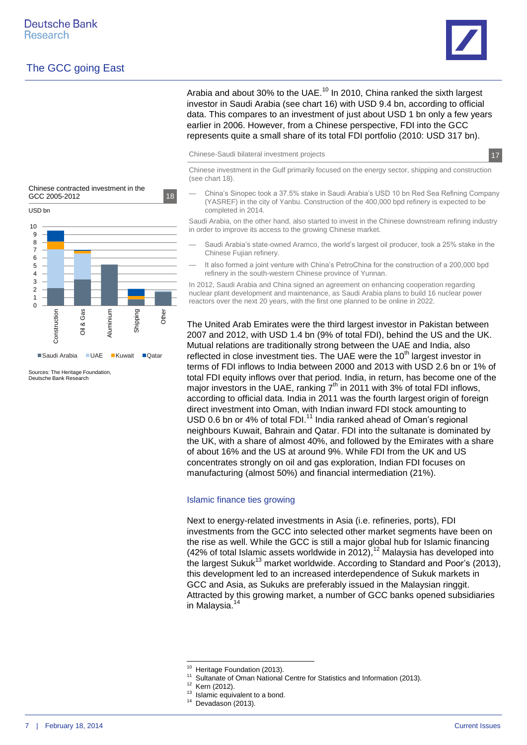USD bn

**Construction** 

Sources: The Heritage Foundation, Deutsche Bank Research

Oil & Gas

Chinese contracted investment in the GCC 2005-2012 18

Aluminium

■Saudi Arabia ■UAE ■Kuwait ■Qatar

Shipping

Other





Arabia and about 30% to the UAE.<sup>10</sup> In 2010, China ranked the sixth largest investor in Saudi Arabia (see chart 16) with USD 9.4 bn, according to official data. This compares to an investment of just about USD 1 bn only a few years earlier in 2006. However, from a Chinese perspective, FDI into the GCC represents quite a small share of its total FDI portfolio (2010: USD 317 bn).

Chinese-Saudi bilateral investment projects 17

Chinese investment in the Gulf primarily focused on the energy sector, shipping and construction (see chart 18).

— China's Sinopec took a 37.5% stake in Saudi Arabia's USD 10 bn Red Sea Refining Company (YASREF) in the city of Yanbu. Construction of the 400,000 bpd refinery is expected to be completed in 2014.

Saudi Arabia, on the other hand, also started to invest in the Chinese downstream refining industry in order to improve its access to the growing Chinese market.

- Saudi Arabia's state-owned Aramco, the world's largest oil producer, took a 25% stake in the Chinese Fujian refinery.
- It also formed a joint venture with China's PetroChina for the construction of a 200,000 bpd refinery in the south-western Chinese province of Yunnan.

In 2012, Saudi Arabia and China signed an agreement on enhancing cooperation regarding nuclear plant development and maintenance, as Saudi Arabia plans to build 16 nuclear power  $\overline{0}$  **Fig. 1. The next 20 years**, with the first one planned to be online in 2022.

> The United Arab Emirates were the third largest investor in Pakistan between 2007 and 2012, with USD 1.4 bn (9% of total FDI), behind the US and the UK. Mutual relations are traditionally strong between the UAE and India, also reflected in close investment ties. The UAE were the  $10<sup>th</sup>$  largest investor in terms of FDI inflows to India between 2000 and 2013 with USD 2.6 bn or 1% of total FDI equity inflows over that period. India, in return, has become one of the major investors in the UAE, ranking  $7<sup>th</sup>$  in 2011 with 3% of total FDI inflows, according to official data. India in 2011 was the fourth largest origin of foreign direct investment into Oman, with Indian inward FDI stock amounting to USD 0.6 bn or 4% of total FDI.<sup>11</sup> India ranked ahead of Oman's regional neighbours Kuwait, Bahrain and Qatar. FDI into the sultanate is dominated by the UK, with a share of almost 40%, and followed by the Emirates with a share of about 16% and the US at around 9%. While FDI from the UK and US concentrates strongly on oil and gas exploration, Indian FDI focuses on manufacturing (almost 50%) and financial intermediation (21%).

#### Islamic finance ties growing

Next to energy-related investments in Asia (i.e. refineries, ports), FDI investments from the GCC into selected other market segments have been on the rise as well. While the GCC is still a major global hub for Islamic financing (42% of total Islamic assets worldwide in 2012),  $12$  Malaysia has developed into the largest Sukuk $^{13}$  market worldwide. According to Standard and Poor's (2013), this development led to an increased interdependence of Sukuk markets in GCC and Asia, as Sukuks are preferably issued in the Malaysian ringgit. Attracted by this growing market, a number of GCC banks opened subsidiaries in Malaysia.<sup>14</sup>

<sup>10</sup> <sup>10</sup> Heritage Foundation (2013).

<sup>&</sup>lt;sup>11</sup> Sultanate of Oman National Centre for Statistics and Information (2013).

Kern (2012).

<sup>&</sup>lt;sup>13</sup> Islamic equivalent to a bond.

 $14$  Devadason (2013).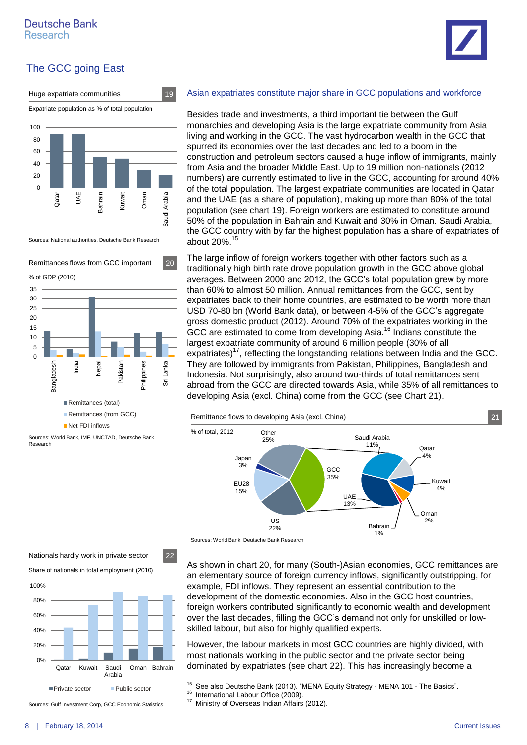



Sources: National authorities, Deutsche Bank Research





Asian expatriates constitute major share in GCC populations and workforce

Besides trade and investments, a third important tie between the Gulf monarchies and developing Asia is the large expatriate community from Asia living and working in the GCC. The vast hydrocarbon wealth in the GCC that spurred its economies over the last decades and led to a boom in the construction and petroleum sectors caused a huge inflow of immigrants, mainly from Asia and the broader Middle East. Up to 19 million non-nationals (2012 numbers) are currently estimated to live in the GCC, accounting for around 40% of the total population. The largest expatriate communities are located in Qatar and the UAE (as a share of population), making up more than 80% of the total population (see chart 19). Foreign workers are estimated to constitute around 50% of the population in Bahrain and Kuwait and 30% in Oman. Saudi Arabia, the GCC country with by far the highest population has a share of expatriates of about 20%.<sup>15</sup>

The large inflow of foreign workers together with other factors such as a traditionally high birth rate drove population growth in the GCC above global averages. Between 2000 and 2012, the GCC's total population grew by more than 60% to almost 50 million. Annual remittances from the GCC, sent by expatriates back to their home countries, are estimated to be worth more than USD 70-80 bn (World Bank data), or between 4-5% of the GCC's aggregate gross domestic product (2012). Around 70% of the expatriates working in the GCC are estimated to come from developing Asia.<sup>16</sup> Indians constitute the largest expatriate community of around 6 million people (30% of all expatriates)<sup>17</sup>, reflecting the longstanding relations between India and the GCC. They are followed by immigrants from Pakistan, Philippines, Bangladesh and Indonesia. Not surprisingly, also around two-thirds of total remittances sent abroad from the GCC are directed towards Asia, while 35% of all remittances to developing Asia (excl. China) come from the GCC (see Chart 21).

Remittance flows to developing Asia (excl. China) 21





As shown in chart 20, for many (South-)Asian economies, GCC remittances are an elementary source of foreign currency inflows, significantly outstripping, for example, FDI inflows. They represent an essential contribution to the development of the domestic economies. Also in the GCC host countries, foreign workers contributed significantly to economic wealth and development over the last decades, filling the GCC's demand not only for unskilled or lowskilled labour, but also for highly qualified experts.

However, the labour markets in most GCC countries are highly divided, with most nationals working in the public sector and the private sector being dominated by expatriates (see chart 22). This has increasingly become a

Qatar Kuwait Saudi

Private sector Public sector

Sources: Gulf Investment Corp, GCC Economic Statistics

Nationals hardly work in private sector 22

Share of nationals in total employment (2010)

Arabia

Oman Bahrain

0% 20% 40% 60% 80% 100%

 $15$ See also Deutsche Bank (2013). "MENA Equity Strategy - MENA 101 - The Basics".

<sup>&</sup>lt;sup>16</sup> International Labour Office (2009).

<sup>&</sup>lt;sup>17</sup> Ministry of Overseas Indian Affairs (2012).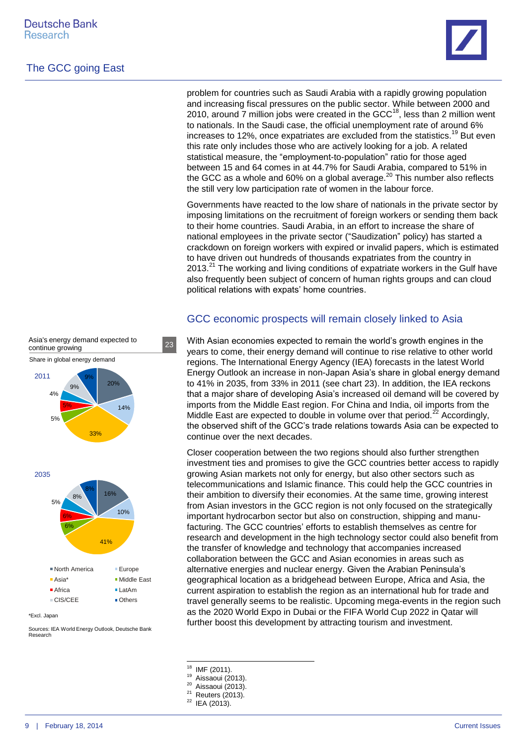

problem for countries such as Saudi Arabia with a rapidly growing population and increasing fiscal pressures on the public sector. While between 2000 and 2010, around  $\overline{7}$  million jobs were created in the GCC<sup>18</sup>, less than 2 million went to nationals. In the Saudi case, the official unemployment rate of around 6% increases to 12%, once expatriates are excluded from the statistics.<sup>19</sup> But even this rate only includes those who are actively looking for a job. A related statistical measure, the "employment-to-population" ratio for those aged between 15 and 64 comes in at 44.7% for Saudi Arabia, compared to 51% in the GCC as a whole and 60% on a global average. $^{20}$  This number also reflects the still very low participation rate of women in the labour force.

Governments have reacted to the low share of nationals in the private sector by imposing limitations on the recruitment of foreign workers or sending them back to their home countries. Saudi Arabia, in an effort to increase the share of national employees in the private sector ("Saudization" policy) has started a crackdown on foreign workers with expired or invalid papers, which is estimated to have driven out hundreds of thousands expatriates from the country in  $2013.<sup>21</sup>$  The working and living conditions of expatriate workers in the Gulf have also frequently been subject of concern of human rights groups and can cloud political relations with expats' home countries.

#### GCC economic prospects will remain closely linked to Asia

With Asian economies expected to remain the world's growth engines in the years to come, their energy demand will continue to rise relative to other world regions. The International Energy Agency (IEA) forecasts in the latest World Energy Outlook an increase in non-Japan Asia's share in global energy demand to 41% in 2035, from 33% in 2011 (see chart 23). In addition, the IEA reckons that a major share of developing Asia's increased oil demand will be covered by imports from the Middle East region. For China and India, oil imports from the Middle East are expected to double in volume over that period.<sup>22</sup> Accordingly, the observed shift of the GCC's trade relations towards Asia can be expected to continue over the next decades.

Closer cooperation between the two regions should also further strengthen investment ties and promises to give the GCC countries better access to rapidly growing Asian markets not only for energy, but also other sectors such as telecommunications and Islamic finance. This could help the GCC countries in their ambition to diversify their economies. At the same time, growing interest from Asian investors in the GCC region is not only focused on the strategically important hydrocarbon sector but also on construction, shipping and manufacturing. The GCC countries' efforts to establish themselves as centre for research and development in the high technology sector could also benefit from the transfer of knowledge and technology that accompanies increased collaboration between the GCC and Asian economies in areas such as alternative energies and nuclear energy. Given the Arabian Peninsula's geographical location as a bridgehead between Europe, Africa and Asia, the current aspiration to establish the region as an international hub for trade and travel generally seems to be realistic. Upcoming mega-events in the region such as the 2020 World Expo in Dubai or the FIFA World Cup 2022 in Qatar will further boost this development by attracting tourism and investment.

- 18  $^{18}$  IMF (2011).
- $^{19}$  Aissaoui (2013).

 $22$  IEA (2013).



Asia's energy demand expected to

Share in global energy demand

Asia's energy demand expected to 23

\*Excl. Japan

Sources: IEA World Energy Outlook, Deutsche Bank Research

 $^{20}$  Aissaoui (2013).

Reuters (2013).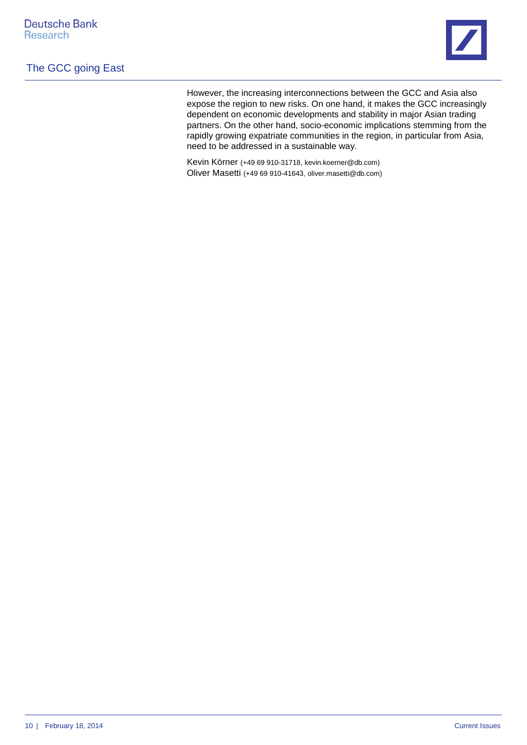

However, the increasing interconnections between the GCC and Asia also expose the region to new risks. On one hand, it makes the GCC increasingly dependent on economic developments and stability in major Asian trading partners. On the other hand, socio-economic implications stemming from the rapidly growing expatriate communities in the region, in particular from Asia, need to be addressed in a sustainable way.

Kevin Körner (+49 69 910-31718, kevin.koerner@db.com) Oliver Masetti (+49 69 910-41643, oliver.masetti@db.com)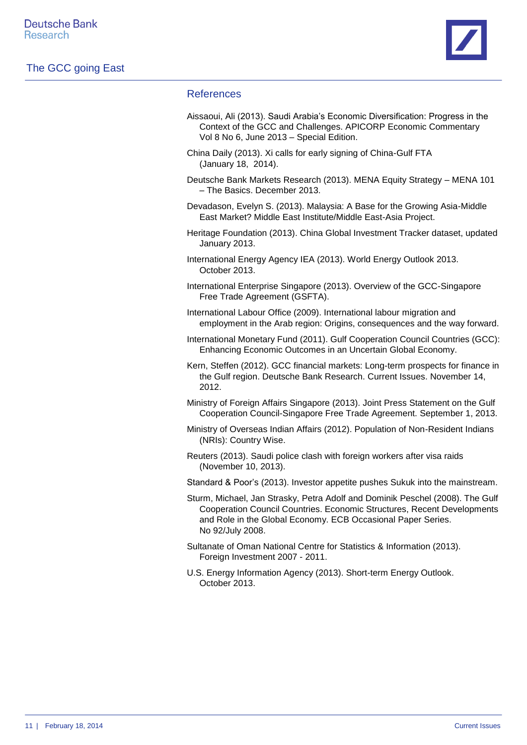

#### References

- Aissaoui, Ali (2013). Saudi Arabia's Economic Diversification: Progress in the Context of the GCC and Challenges. APICORP Economic Commentary Vol 8 No 6, June 2013 – Special Edition.
- China Daily (2013). Xi calls for early signing of China-Gulf FTA (January 18, 2014).
- Deutsche Bank Markets Research (2013). MENA Equity Strategy MENA 101 – The Basics. December 2013.
- Devadason, Evelyn S. (2013). Malaysia: A Base for the Growing Asia-Middle East Market? Middle East Institute/Middle East-Asia Project.
- Heritage Foundation (2013). China Global Investment Tracker dataset, updated January 2013.
- International Energy Agency IEA (2013). World Energy Outlook 2013. October 2013.
- International Enterprise Singapore (2013). Overview of the GCC-Singapore Free Trade Agreement (GSFTA).
- International Labour Office (2009). International labour migration and employment in the Arab region: Origins, consequences and the way forward.
- International Monetary Fund (2011). Gulf Cooperation Council Countries (GCC): Enhancing Economic Outcomes in an Uncertain Global Economy.
- Kern, Steffen (2012). GCC financial markets: Long-term prospects for finance in the Gulf region. Deutsche Bank Research. Current Issues. November 14, 2012.
- Ministry of Foreign Affairs Singapore (2013). Joint Press Statement on the Gulf Cooperation Council-Singapore Free Trade Agreement. September 1, 2013.
- Ministry of Overseas Indian Affairs (2012). Population of Non-Resident Indians (NRIs): Country Wise.
- Reuters (2013). Saudi police clash with foreign workers after visa raids (November 10, 2013).

Standard & Poor's (2013). Investor appetite pushes Sukuk into the mainstream.

- Sturm, Michael, Jan Strasky, Petra Adolf and Dominik Peschel (2008). The Gulf Cooperation Council Countries. Economic Structures, Recent Developments and Role in the Global Economy. ECB Occasional Paper Series. No 92/July 2008.
- Sultanate of Oman National Centre for Statistics & Information (2013). Foreign Investment 2007 - 2011.
- U.S. Energy Information Agency (2013). Short-term Energy Outlook. October 2013.